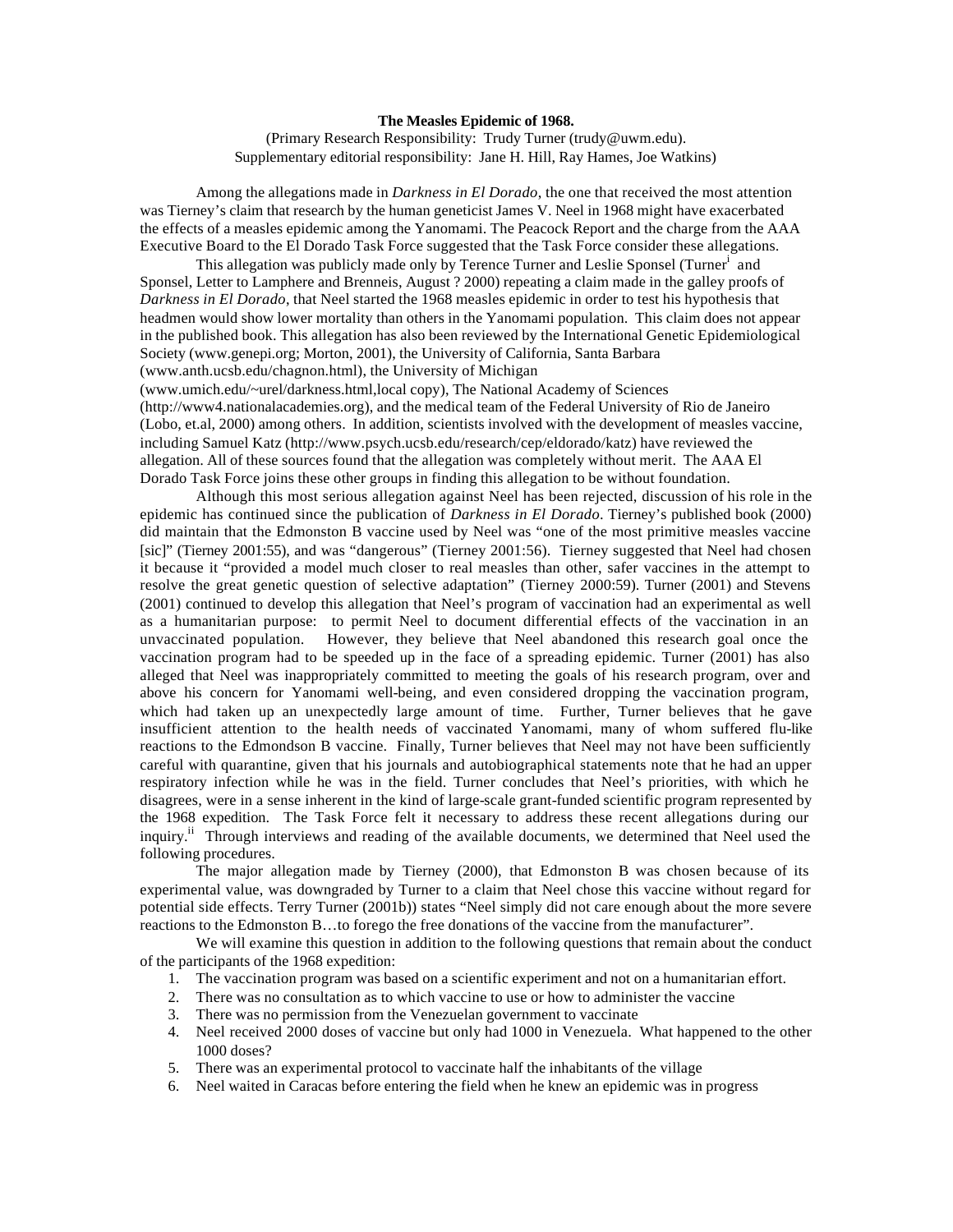## **The Measles Epidemic of 1968.**

(Primary Research Responsibility: Trudy Turner (trudy@uwm.edu). Supplementary editorial responsibility: Jane H. Hill, Ray Hames, Joe Watkins)

Among the allegations made in *Darkness in El Dorado*, the one that received the most attention was Tierney's claim that research by the human geneticist James V. Neel in 1968 might have exacerbated the effects of a measles epidemic among the Yanomami. The Peacock Report and the charge from the AAA Executive Board to the El Dorado Task Force suggested that the Task Force consider these allegations.

This allegation was publicly made only by Terence Turner and Leslie Sponsel (Turner<sup>i</sup> and Sponsel, Letter to Lamphere and Brenneis, August ? 2000) repeating a claim made in the galley proofs of *Darkness in El Dorado*, that Neel started the 1968 measles epidemic in order to test his hypothesis that headmen would show lower mortality than others in the Yanomami population. This claim does not appear in the published book. This allegation has also been reviewed by the International Genetic Epidemiological Society (www.genepi.org; Morton, 2001), the University of California, Santa Barbara (www.anth.ucsb.edu/chagnon.html), the University of Michigan

(www.umich.edu/~urel/darkness.html,local copy), The National Academy of Sciences (http://www4.nationalacademies.org), and the medical team of the Federal University of Rio de Janeiro (Lobo, et.al, 2000) among others. In addition, scientists involved with the development of measles vaccine, including Samuel Katz (http://www.psych.ucsb.edu/research/cep/eldorado/katz) have reviewed the allegation. All of these sources found that the allegation was completely without merit. The AAA El Dorado Task Force joins these other groups in finding this allegation to be without foundation.

Although this most serious allegation against Neel has been rejected, discussion of his role in the epidemic has continued since the publication of *Darkness in El Dorado*. Tierney's published book (2000) did maintain that the Edmonston B vaccine used by Neel was "one of the most primitive measles vaccine [sic]" (Tierney 2001:55), and was "dangerous" (Tierney 2001:56). Tierney suggested that Neel had chosen it because it "provided a model much closer to real measles than other, safer vaccines in the attempt to resolve the great genetic question of selective adaptation" (Tierney 2000:59). Turner (2001) and Stevens (2001) continued to develop this allegation that Neel's program of vaccination had an experimental as well as a humanitarian purpose: to permit Neel to document differential effects of the vaccination in an unvaccinated population. However, they believe that Neel abandoned this research goal once the vaccination program had to be speeded up in the face of a spreading epidemic. Turner (2001) has also alleged that Neel was inappropriately committed to meeting the goals of his research program, over and above his concern for Yanomami well-being, and even considered dropping the vaccination program, which had taken up an unexpectedly large amount of time. Further, Turner believes that he gave insufficient attention to the health needs of vaccinated Yanomami, many of whom suffered flu-like reactions to the Edmondson B vaccine. Finally, Turner believes that Neel may not have been sufficiently careful with quarantine, given that his journals and autobiographical statements note that he had an upper respiratory infection while he was in the field. Turner concludes that Neel's priorities, with which he disagrees, were in a sense inherent in the kind of large-scale grant-funded scientific program represented by the 1968 expedition. The Task Force felt it necessary to address these recent allegations during our inquiry.<sup>ii</sup> Through interviews and reading of the available documents, we determined that Neel used the following procedures.

The major allegation made by Tierney (2000), that Edmonston B was chosen because of its experimental value, was downgraded by Turner to a claim that Neel chose this vaccine without regard for potential side effects. Terry Turner (2001b)) states "Neel simply did not care enough about the more severe reactions to the Edmonston B…to forego the free donations of the vaccine from the manufacturer".

We will examine this question in addition to the following questions that remain about the conduct of the participants of the 1968 expedition:

- 1. The vaccination program was based on a scientific experiment and not on a humanitarian effort.
- 2. There was no consultation as to which vaccine to use or how to administer the vaccine
- 3. There was no permission from the Venezuelan government to vaccinate
- 4. Neel received 2000 doses of vaccine but only had 1000 in Venezuela. What happened to the other 1000 doses?
- 5. There was an experimental protocol to vaccinate half the inhabitants of the village
- 6. Neel waited in Caracas before entering the field when he knew an epidemic was in progress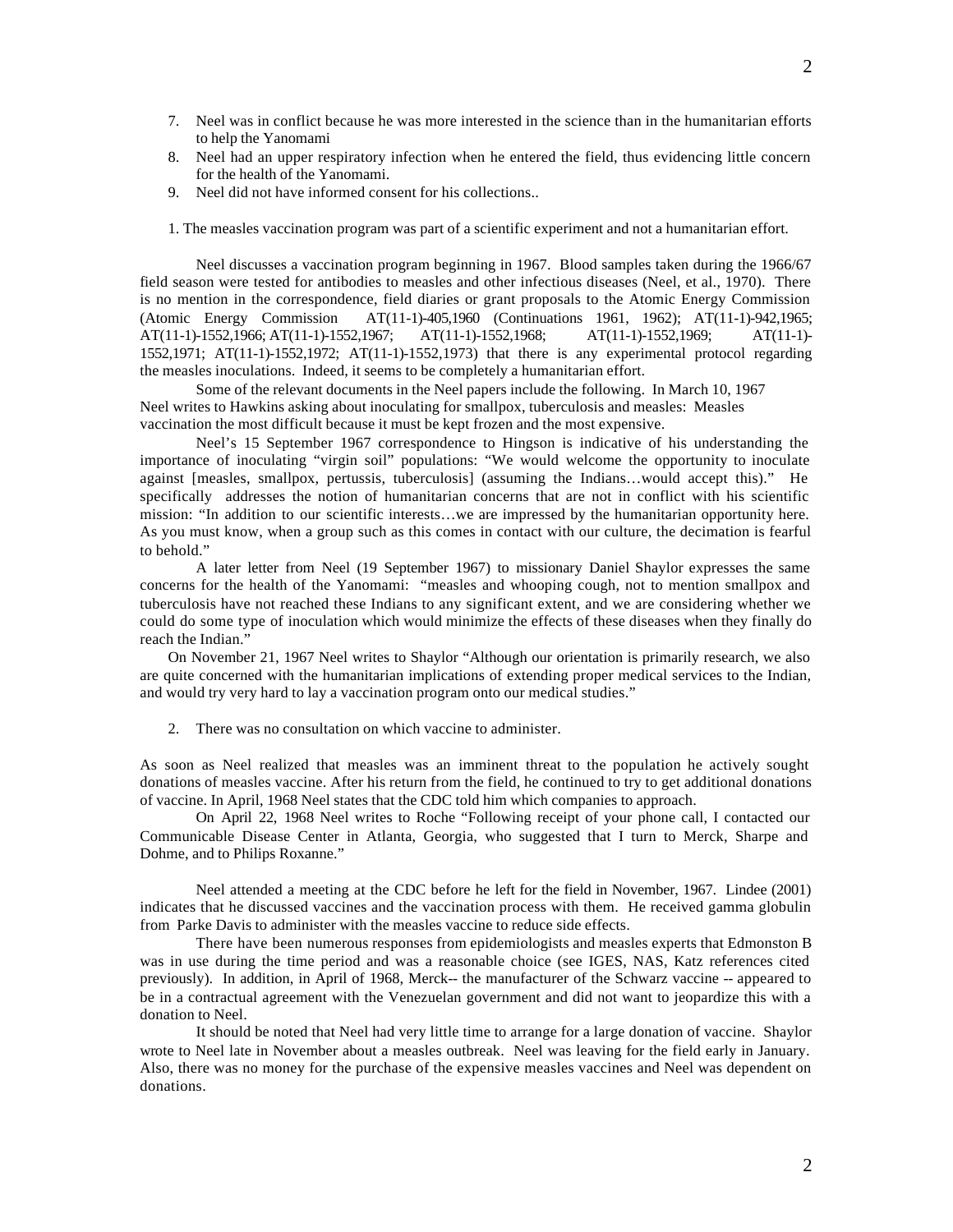- 7. Neel was in conflict because he was more interested in the science than in the humanitarian efforts to help the Yanomami
- 8. Neel had an upper respiratory infection when he entered the field, thus evidencing little concern for the health of the Yanomami.
- 9. Neel did not have informed consent for his collections..
- 1. The measles vaccination program was part of a scientific experiment and not a humanitarian effort.

Neel discusses a vaccination program beginning in 1967. Blood samples taken during the 1966/67 field season were tested for antibodies to measles and other infectious diseases (Neel, et al., 1970). There is no mention in the correspondence, field diaries or grant proposals to the Atomic Energy Commission (Atomic Energy Commission AT(11-1)-405,1960 (Continuations 1961, 1962); AT(11-1)-942,1965; AT(11-1)-1552,1966; AT(11-1)-1552,1967; AT(11-1)-1552,1968; AT(11-1)-1552,1969; AT(11-1)- 1552,1971; AT(11-1)-1552,1972; AT(11-1)-1552,1973) that there is any experimental protocol regarding the measles inoculations. Indeed, it seems to be completely a humanitarian effort.

Some of the relevant documents in the Neel papers include the following. In March 10, 1967 Neel writes to Hawkins asking about inoculating for smallpox, tuberculosis and measles: Measles vaccination the most difficult because it must be kept frozen and the most expensive.

Neel's 15 September 1967 correspondence to Hingson is indicative of his understanding the importance of inoculating "virgin soil" populations: "We would welcome the opportunity to inoculate against [measles, smallpox, pertussis, tuberculosis] (assuming the Indians…would accept this)." He specifically addresses the notion of humanitarian concerns that are not in conflict with his scientific mission: "In addition to our scientific interests…we are impressed by the humanitarian opportunity here. As you must know, when a group such as this comes in contact with our culture, the decimation is fearful to behold."

A later letter from Neel (19 September 1967) to missionary Daniel Shaylor expresses the same concerns for the health of the Yanomami: "measles and whooping cough, not to mention smallpox and tuberculosis have not reached these Indians to any significant extent, and we are considering whether we could do some type of inoculation which would minimize the effects of these diseases when they finally do reach the Indian."

On November 21, 1967 Neel writes to Shaylor "Although our orientation is primarily research, we also are quite concerned with the humanitarian implications of extending proper medical services to the Indian, and would try very hard to lay a vaccination program onto our medical studies."

2. There was no consultation on which vaccine to administer.

As soon as Neel realized that measles was an imminent threat to the population he actively sought donations of measles vaccine. After his return from the field, he continued to try to get additional donations of vaccine. In April, 1968 Neel states that the CDC told him which companies to approach.

On April 22, 1968 Neel writes to Roche "Following receipt of your phone call, I contacted our Communicable Disease Center in Atlanta, Georgia, who suggested that I turn to Merck, Sharpe and Dohme, and to Philips Roxanne."

Neel attended a meeting at the CDC before he left for the field in November, 1967. Lindee (2001) indicates that he discussed vaccines and the vaccination process with them. He received gamma globulin from Parke Davis to administer with the measles vaccine to reduce side effects.

There have been numerous responses from epidemiologists and measles experts that Edmonston B was in use during the time period and was a reasonable choice (see IGES, NAS, Katz references cited previously). In addition, in April of 1968, Merck-- the manufacturer of the Schwarz vaccine -- appeared to be in a contractual agreement with the Venezuelan government and did not want to jeopardize this with a donation to Neel.

It should be noted that Neel had very little time to arrange for a large donation of vaccine. Shaylor wrote to Neel late in November about a measles outbreak. Neel was leaving for the field early in January. Also, there was no money for the purchase of the expensive measles vaccines and Neel was dependent on donations.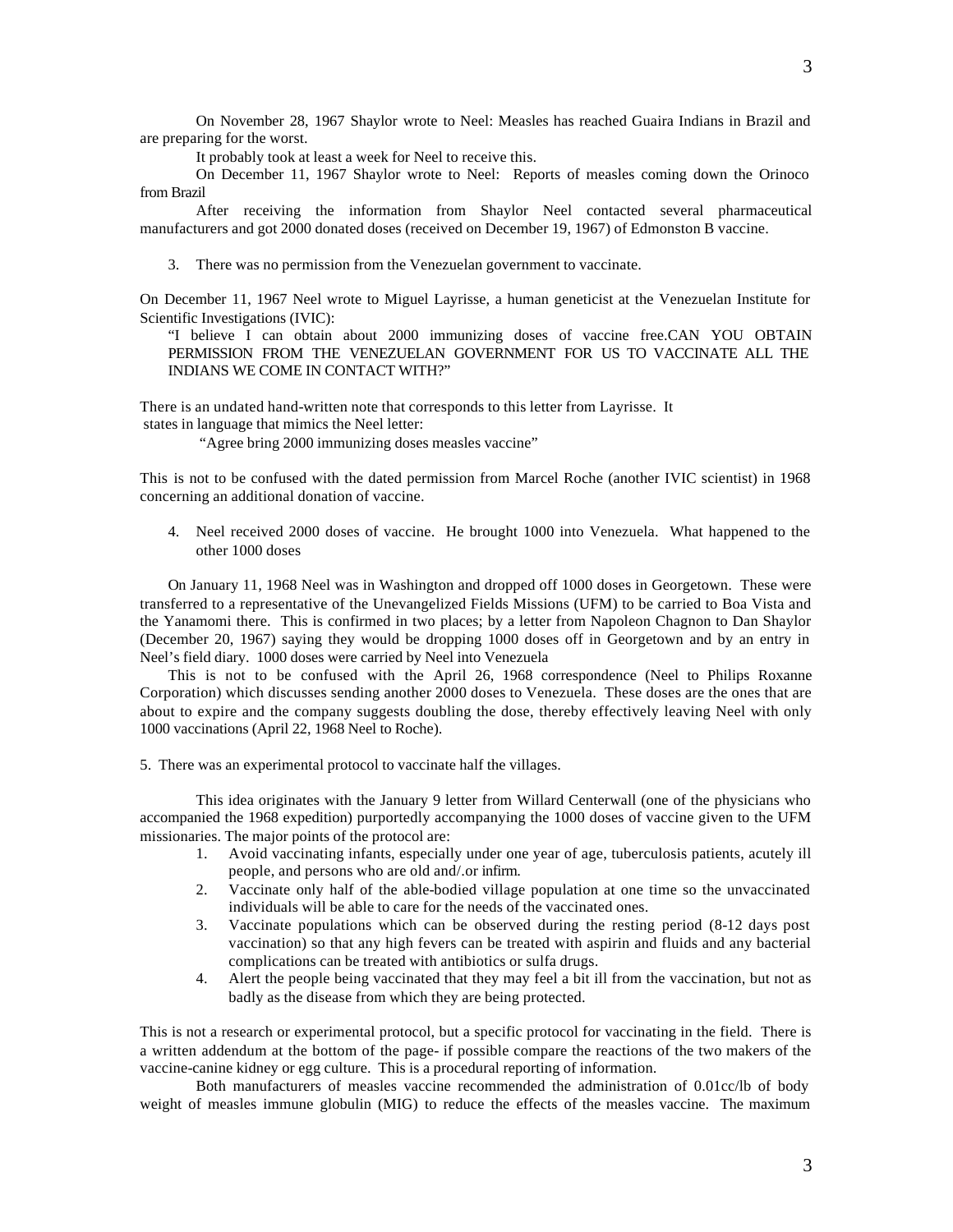It probably took at least a week for Neel to receive this.

On December 11, 1967 Shaylor wrote to Neel: Reports of measles coming down the Orinoco from Brazil

After receiving the information from Shaylor Neel contacted several pharmaceutical manufacturers and got 2000 donated doses (received on December 19, 1967) of Edmonston B vaccine.

3. There was no permission from the Venezuelan government to vaccinate.

On December 11, 1967 Neel wrote to Miguel Layrisse, a human geneticist at the Venezuelan Institute for Scientific Investigations (IVIC):

"I believe I can obtain about 2000 immunizing doses of vaccine free.CAN YOU OBTAIN PERMISSION FROM THE VENEZUELAN GOVERNMENT FOR US TO VACCINATE ALL THE INDIANS WE COME IN CONTACT WITH?"

There is an undated hand-written note that corresponds to this letter from Layrisse. It states in language that mimics the Neel letter:

"Agree bring 2000 immunizing doses measles vaccine"

This is not to be confused with the dated permission from Marcel Roche (another IVIC scientist) in 1968 concerning an additional donation of vaccine.

4. Neel received 2000 doses of vaccine. He brought 1000 into Venezuela. What happened to the other 1000 doses

On January 11, 1968 Neel was in Washington and dropped off 1000 doses in Georgetown. These were transferred to a representative of the Unevangelized Fields Missions (UFM) to be carried to Boa Vista and the Yanamomi there. This is confirmed in two places; by a letter from Napoleon Chagnon to Dan Shaylor (December 20, 1967) saying they would be dropping 1000 doses off in Georgetown and by an entry in Neel's field diary. 1000 doses were carried by Neel into Venezuela

This is not to be confused with the April 26, 1968 correspondence (Neel to Philips Roxanne Corporation) which discusses sending another 2000 doses to Venezuela. These doses are the ones that are about to expire and the company suggests doubling the dose, thereby effectively leaving Neel with only 1000 vaccinations (April 22, 1968 Neel to Roche).

5. There was an experimental protocol to vaccinate half the villages.

This idea originates with the January 9 letter from Willard Centerwall (one of the physicians who accompanied the 1968 expedition) purportedly accompanying the 1000 doses of vaccine given to the UFM missionaries. The major points of the protocol are:

- 1. Avoid vaccinating infants, especially under one year of age, tuberculosis patients, acutely ill people, and persons who are old and/.or infirm.
- 2. Vaccinate only half of the able-bodied village population at one time so the unvaccinated individuals will be able to care for the needs of the vaccinated ones.
- 3. Vaccinate populations which can be observed during the resting period (8-12 days post vaccination) so that any high fevers can be treated with aspirin and fluids and any bacterial complications can be treated with antibiotics or sulfa drugs.
- 4. Alert the people being vaccinated that they may feel a bit ill from the vaccination, but not as badly as the disease from which they are being protected.

This is not a research or experimental protocol, but a specific protocol for vaccinating in the field. There is a written addendum at the bottom of the page- if possible compare the reactions of the two makers of the vaccine-canine kidney or egg culture. This is a procedural reporting of information.

Both manufacturers of measles vaccine recommended the administration of 0.01cc/lb of body weight of measles immune globulin (MIG) to reduce the effects of the measles vaccine. The maximum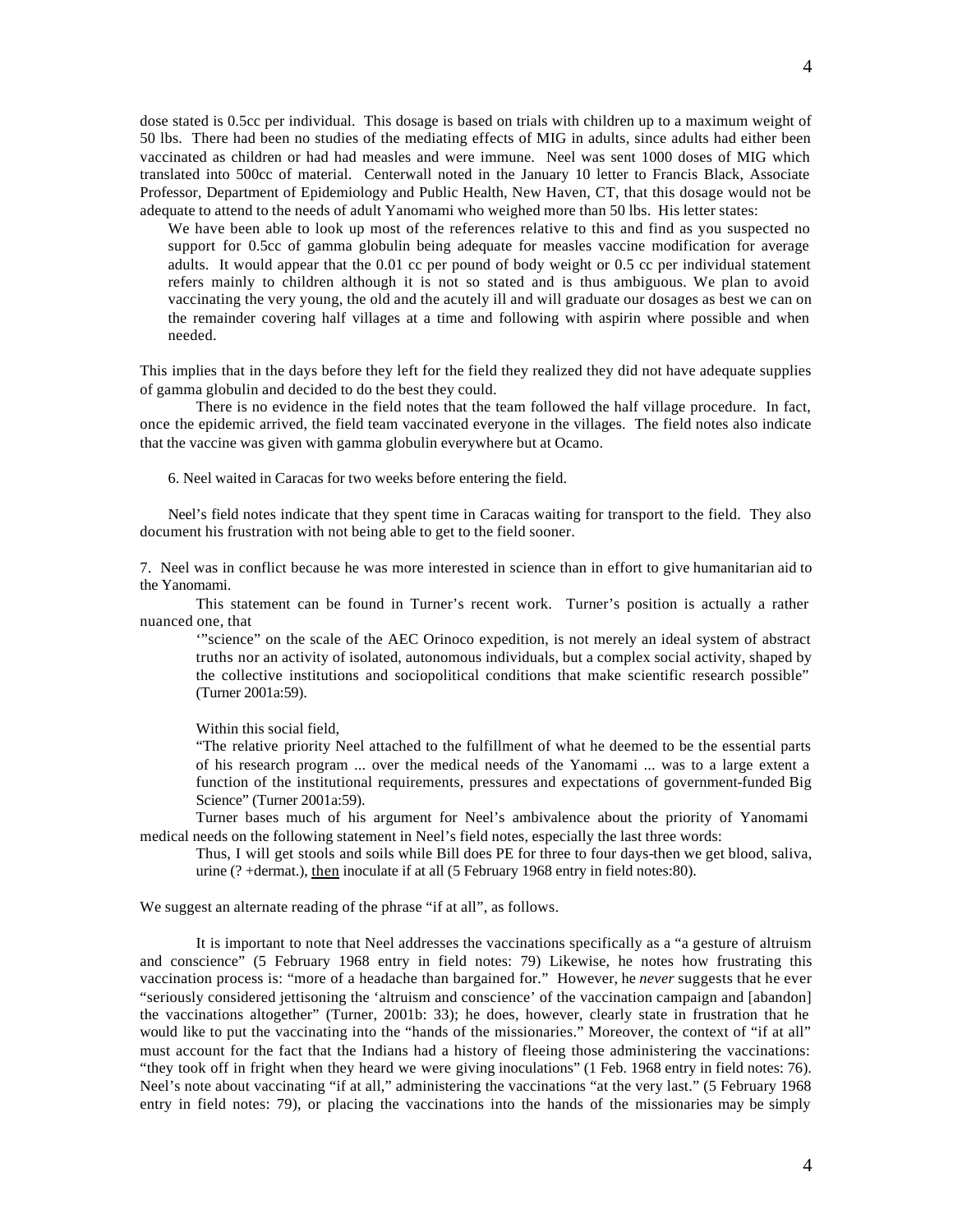dose stated is 0.5cc per individual. This dosage is based on trials with children up to a maximum weight of 50 lbs. There had been no studies of the mediating effects of MIG in adults, since adults had either been vaccinated as children or had had measles and were immune. Neel was sent 1000 doses of MIG which translated into 500cc of material. Centerwall noted in the January 10 letter to Francis Black, Associate Professor, Department of Epidemiology and Public Health, New Haven, CT, that this dosage would not be adequate to attend to the needs of adult Yanomami who weighed more than 50 lbs. His letter states:

We have been able to look up most of the references relative to this and find as you suspected no support for 0.5cc of gamma globulin being adequate for measles vaccine modification for average adults. It would appear that the 0.01 cc per pound of body weight or 0.5 cc per individual statement refers mainly to children although it is not so stated and is thus ambiguous. We plan to avoid vaccinating the very young, the old and the acutely ill and will graduate our dosages as best we can on the remainder covering half villages at a time and following with aspirin where possible and when needed.

This implies that in the days before they left for the field they realized they did not have adequate supplies of gamma globulin and decided to do the best they could.

There is no evidence in the field notes that the team followed the half village procedure. In fact, once the epidemic arrived, the field team vaccinated everyone in the villages. The field notes also indicate that the vaccine was given with gamma globulin everywhere but at Ocamo.

6. Neel waited in Caracas for two weeks before entering the field.

Neel's field notes indicate that they spent time in Caracas waiting for transport to the field. They also document his frustration with not being able to get to the field sooner.

7. Neel was in conflict because he was more interested in science than in effort to give humanitarian aid to the Yanomami.

This statement can be found in Turner's recent work. Turner's position is actually a rather nuanced one, that

'"science" on the scale of the AEC Orinoco expedition, is not merely an ideal system of abstract truths nor an activity of isolated, autonomous individuals, but a complex social activity, shaped by the collective institutions and sociopolitical conditions that make scientific research possible" (Turner 2001a:59).

Within this social field,

"The relative priority Neel attached to the fulfillment of what he deemed to be the essential parts of his research program ... over the medical needs of the Yanomami ... was to a large extent a function of the institutional requirements, pressures and expectations of government-funded Big Science" (Turner 2001a:59).

Turner bases much of his argument for Neel's ambivalence about the priority of Yanomami medical needs on the following statement in Neel's field notes, especially the last three words:

Thus, I will get stools and soils while Bill does PE for three to four days-then we get blood, saliva, urine (? +dermat.), then inoculate if at all (5 February 1968 entry in field notes:80).

We suggest an alternate reading of the phrase "if at all", as follows.

It is important to note that Neel addresses the vaccinations specifically as a "a gesture of altruism and conscience" (5 February 1968 entry in field notes: 79) Likewise, he notes how frustrating this vaccination process is: "more of a headache than bargained for." However, he *never* suggests that he ever "seriously considered jettisoning the 'altruism and conscience' of the vaccination campaign and [abandon] the vaccinations altogether" (Turner, 2001b: 33); he does, however, clearly state in frustration that he would like to put the vaccinating into the "hands of the missionaries." Moreover, the context of "if at all" must account for the fact that the Indians had a history of fleeing those administering the vaccinations: "they took off in fright when they heard we were giving inoculations" (1 Feb. 1968 entry in field notes: 76). Neel's note about vaccinating "if at all," administering the vaccinations "at the very last." (5 February 1968 entry in field notes: 79), or placing the vaccinations into the hands of the missionaries may be simply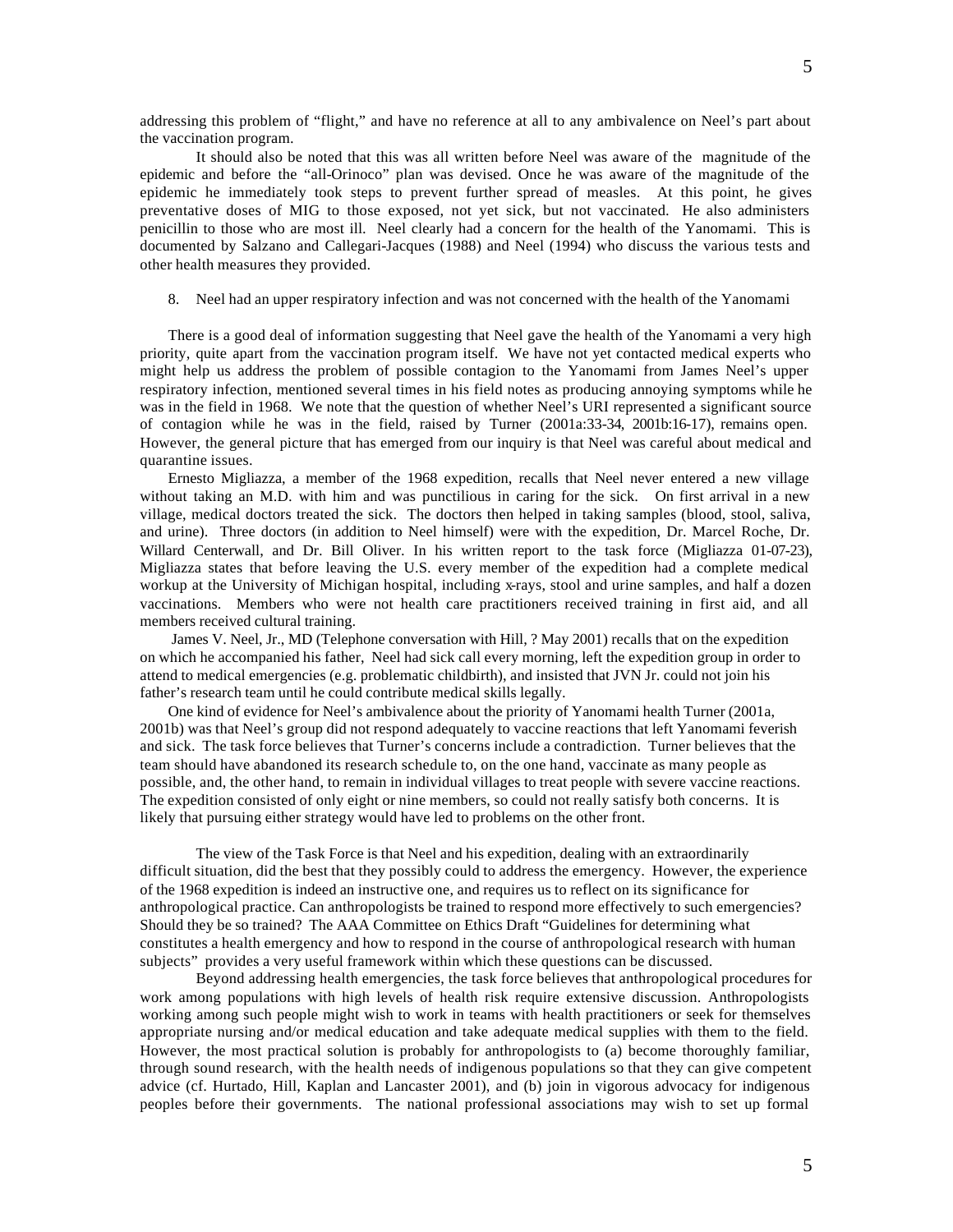addressing this problem of "flight," and have no reference at all to any ambivalence on Neel's part about the vaccination program.

It should also be noted that this was all written before Neel was aware of the magnitude of the epidemic and before the "all-Orinoco" plan was devised. Once he was aware of the magnitude of the epidemic he immediately took steps to prevent further spread of measles. At this point, he gives preventative doses of MIG to those exposed, not yet sick, but not vaccinated. He also administers penicillin to those who are most ill. Neel clearly had a concern for the health of the Yanomami. This is documented by Salzano and Callegari-Jacques (1988) and Neel (1994) who discuss the various tests and other health measures they provided.

## 8. Neel had an upper respiratory infection and was not concerned with the health of the Yanomami

There is a good deal of information suggesting that Neel gave the health of the Yanomami a very high priority, quite apart from the vaccination program itself. We have not yet contacted medical experts who might help us address the problem of possible contagion to the Yanomami from James Neel's upper respiratory infection, mentioned several times in his field notes as producing annoying symptoms while he was in the field in 1968. We note that the question of whether Neel's URI represented a significant source of contagion while he was in the field, raised by Turner (2001a:33-34, 2001b:16-17), remains open. However, the general picture that has emerged from our inquiry is that Neel was careful about medical and quarantine issues.

Ernesto Migliazza, a member of the 1968 expedition, recalls that Neel never entered a new village without taking an M.D. with him and was punctilious in caring for the sick. On first arrival in a new village, medical doctors treated the sick. The doctors then helped in taking samples (blood, stool, saliva, and urine). Three doctors (in addition to Neel himself) were with the expedition, Dr. Marcel Roche, Dr. Willard Centerwall, and Dr. Bill Oliver. In his written report to the task force (Migliazza 01-07-23), Migliazza states that before leaving the U.S. every member of the expedition had a complete medical workup at the University of Michigan hospital, including x-rays, stool and urine samples, and half a dozen vaccinations. Members who were not health care practitioners received training in first aid, and all members received cultural training.

 James V. Neel, Jr., MD (Telephone conversation with Hill, ? May 2001) recalls that on the expedition on which he accompanied his father, Neel had sick call every morning, left the expedition group in order to attend to medical emergencies (e.g. problematic childbirth), and insisted that JVN Jr. could not join his father's research team until he could contribute medical skills legally.

One kind of evidence for Neel's ambivalence about the priority of Yanomami health Turner (2001a, 2001b) was that Neel's group did not respond adequately to vaccine reactions that left Yanomami feverish and sick. The task force believes that Turner's concerns include a contradiction. Turner believes that the team should have abandoned its research schedule to, on the one hand, vaccinate as many people as possible, and, the other hand, to remain in individual villages to treat people with severe vaccine reactions. The expedition consisted of only eight or nine members, so could not really satisfy both concerns. It is likely that pursuing either strategy would have led to problems on the other front.

The view of the Task Force is that Neel and his expedition, dealing with an extraordinarily difficult situation, did the best that they possibly could to address the emergency. However, the experience of the 1968 expedition is indeed an instructive one, and requires us to reflect on its significance for anthropological practice. Can anthropologists be trained to respond more effectively to such emergencies? Should they be so trained? The AAA Committee on Ethics Draft "Guidelines for determining what constitutes a health emergency and how to respond in the course of anthropological research with human subjects" provides a very useful framework within which these questions can be discussed.

Beyond addressing health emergencies, the task force believes that anthropological procedures for work among populations with high levels of health risk require extensive discussion. Anthropologists working among such people might wish to work in teams with health practitioners or seek for themselves appropriate nursing and/or medical education and take adequate medical supplies with them to the field. However, the most practical solution is probably for anthropologists to (a) become thoroughly familiar, through sound research, with the health needs of indigenous populations so that they can give competent advice (cf. Hurtado, Hill, Kaplan and Lancaster 2001), and (b) join in vigorous advocacy for indigenous peoples before their governments. The national professional associations may wish to set up formal